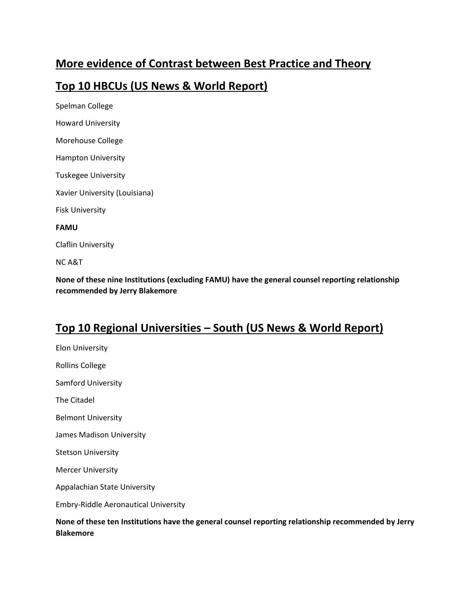### **More evidence of Contrast between Best Practice and Theory**

#### **Top 10 HBCUs (US News & World Report)**

Spelman College Howard University Morehouse College Hampton University Tuskegee University Xavier University (Louisiana) Fisk University **FAMU** Claflin University NC A&T

**None of these nine Institutions (excluding FAMU) have the general counsel reporting relationship recommended by Jerry Blakemore**

## **Top 10 Regional Universities – South (US News & World Report)**

Elon University Rollins College Samford University The Citadel Belmont University James Madison University Stetson University Mercer University Appalachian State University Embry-Riddle Aeronautical University **None of these ten Institutions have the general counsel reporting relationship recommended by Jerry Blakemore**